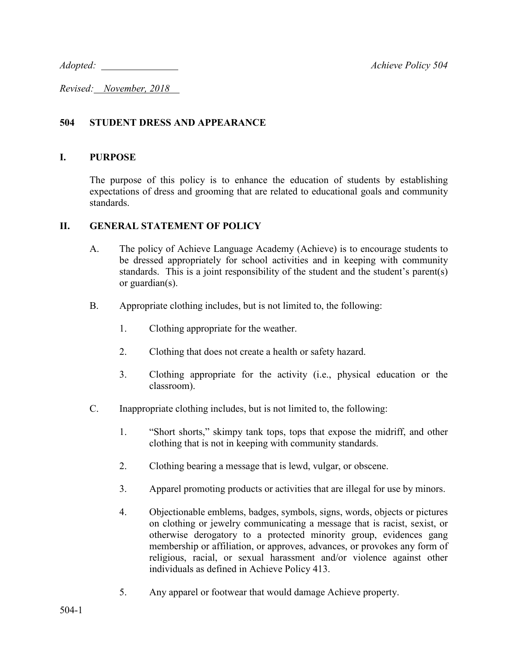*Adopted: Achieve Policy 504*

*Revised: November, 2018* 

## **504 STUDENT DRESS AND APPEARANCE**

## **I. PURPOSE**

The purpose of this policy is to enhance the education of students by establishing expectations of dress and grooming that are related to educational goals and community standards.

## **II. GENERAL STATEMENT OF POLICY**

- A. The policy of Achieve Language Academy (Achieve) is to encourage students to be dressed appropriately for school activities and in keeping with community standards. This is a joint responsibility of the student and the student's parent(s) or guardian(s).
- B. Appropriate clothing includes, but is not limited to, the following:
	- 1. Clothing appropriate for the weather.
	- 2. Clothing that does not create a health or safety hazard.
	- 3. Clothing appropriate for the activity (i.e., physical education or the classroom).
- C. Inappropriate clothing includes, but is not limited to, the following:
	- 1. "Short shorts," skimpy tank tops, tops that expose the midriff, and other clothing that is not in keeping with community standards.
	- 2. Clothing bearing a message that is lewd, vulgar, or obscene.
	- 3. Apparel promoting products or activities that are illegal for use by minors.
	- 4. Objectionable emblems, badges, symbols, signs, words, objects or pictures on clothing or jewelry communicating a message that is racist, sexist, or otherwise derogatory to a protected minority group, evidences gang membership or affiliation, or approves, advances, or provokes any form of religious, racial, or sexual harassment and/or violence against other individuals as defined in Achieve Policy 413.
	- 5. Any apparel or footwear that would damage Achieve property.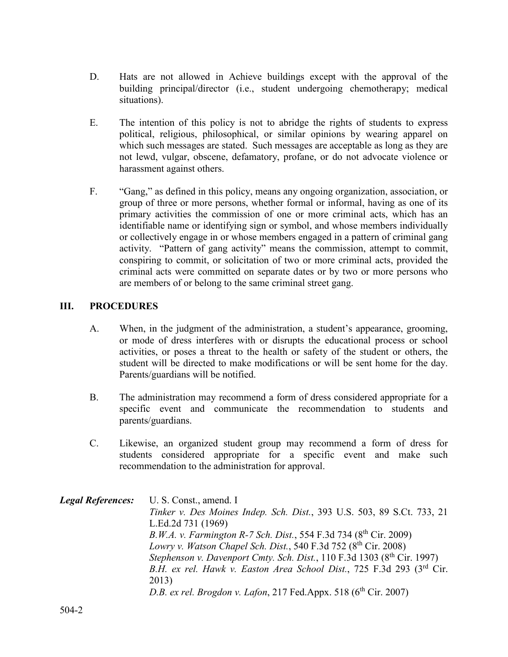- D. Hats are not allowed in Achieve buildings except with the approval of the building principal/director (i.e., student undergoing chemotherapy; medical situations).
- E. The intention of this policy is not to abridge the rights of students to express political, religious, philosophical, or similar opinions by wearing apparel on which such messages are stated. Such messages are acceptable as long as they are not lewd, vulgar, obscene, defamatory, profane, or do not advocate violence or harassment against others.
- F. "Gang," as defined in this policy, means any ongoing organization, association, or group of three or more persons, whether formal or informal, having as one of its primary activities the commission of one or more criminal acts, which has an identifiable name or identifying sign or symbol, and whose members individually or collectively engage in or whose members engaged in a pattern of criminal gang activity. "Pattern of gang activity" means the commission, attempt to commit, conspiring to commit, or solicitation of two or more criminal acts, provided the criminal acts were committed on separate dates or by two or more persons who are members of or belong to the same criminal street gang.

## **III. PROCEDURES**

- A. When, in the judgment of the administration, a student's appearance, grooming, or mode of dress interferes with or disrupts the educational process or school activities, or poses a threat to the health or safety of the student or others, the student will be directed to make modifications or will be sent home for the day. Parents/guardians will be notified.
- B. The administration may recommend a form of dress considered appropriate for a specific event and communicate the recommendation to students and parents/guardians.
- C. Likewise, an organized student group may recommend a form of dress for students considered appropriate for a specific event and make such recommendation to the administration for approval.

*Legal References:* U. S. Const., amend. I *Tinker v. Des Moines Indep. Sch. Dist.*, 393 U.S. 503, 89 S.Ct. 733, 21 L.Ed.2d 731 (1969) *B.W.A. v. Farmington R-7 Sch. Dist.*, 554 F.3d 734 (8<sup>th</sup> Cir. 2009) *Lowry v. Watson Chapel Sch. Dist.*, 540 F.3d 752 (8th Cir. 2008) *Stephenson v. Davenport Cmty. Sch. Dist.,* 110 F.3d 1303 (8<sup>th</sup> Cir. 1997) *B.H. ex rel. Hawk v. Easton Area School Dist.*, 725 F.3d 293 (3rd Cir. 2013) *D.B. ex rel. Brogdon v. Lafon*, 217 Fed.Appx. 518 (6<sup>th</sup> Cir. 2007)